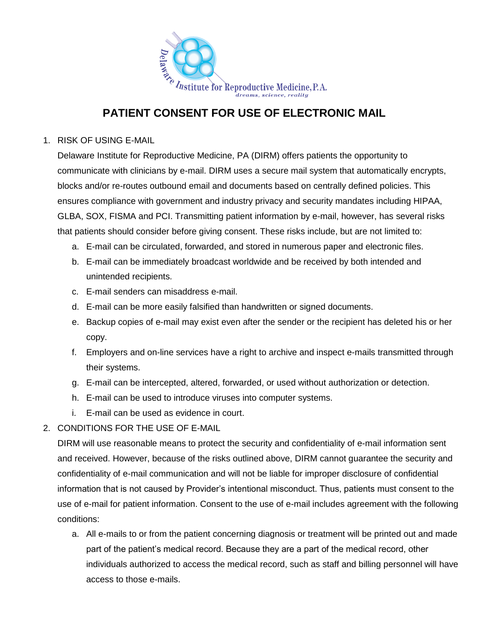

## **PATIENT CONSENT FOR USE OF ELECTRONIC MAIL**

1. RISK OF USING E-MAIL

Delaware Institute for Reproductive Medicine, PA (DIRM) offers patients the opportunity to communicate with clinicians by e-mail. DIRM uses a secure mail system that automatically encrypts, blocks and/or re-routes outbound email and documents based on centrally defined policies. This ensures compliance with government and industry privacy and security mandates including HIPAA, GLBA, SOX, FISMA and PCI. Transmitting patient information by e-mail, however, has several risks that patients should consider before giving consent. These risks include, but are not limited to:

- a. E-mail can be circulated, forwarded, and stored in numerous paper and electronic files.
- b. E-mail can be immediately broadcast worldwide and be received by both intended and unintended recipients.
- c. E-mail senders can misaddress e-mail.
- d. E-mail can be more easily falsified than handwritten or signed documents.
- e. Backup copies of e-mail may exist even after the sender or the recipient has deleted his or her copy.
- f. Employers and on-line services have a right to archive and inspect e-mails transmitted through their systems.
- g. E-mail can be intercepted, altered, forwarded, or used without authorization or detection.
- h. E-mail can be used to introduce viruses into computer systems.
- i. E-mail can be used as evidence in court.
- 2. CONDITIONS FOR THE USE OF E-MAIL

DIRM will use reasonable means to protect the security and confidentiality of e-mail information sent and received. However, because of the risks outlined above, DIRM cannot guarantee the security and confidentiality of e-mail communication and will not be liable for improper disclosure of confidential information that is not caused by Provider's intentional misconduct. Thus, patients must consent to the use of e-mail for patient information. Consent to the use of e-mail includes agreement with the following conditions:

a. All e-mails to or from the patient concerning diagnosis or treatment will be printed out and made part of the patient's medical record. Because they are a part of the medical record, other individuals authorized to access the medical record, such as staff and billing personnel will have access to those e-mails.